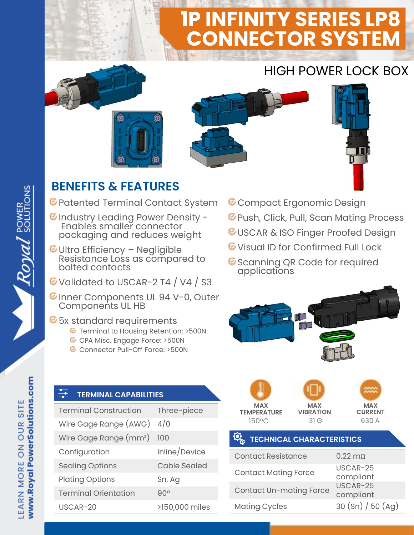# **1P INFINITY SERIES LP8 CONNECTOR SYSTEM**

## HIGH POWER LOCK BOX









### **BENEFITS & FEATURES**

Patented Terminal Contact System

- GIndustry Leading Power Density -Enables smaller connector packaging and reduces weight
- Ultra Efficiency Negligible Resistance Loss as compared to bolted contacts
- G Validated to USCAR-2 T4 / V4 / S3
- CInner Components UL 94 V-0, Outer Components UL HB

#### **6** 5x standard requirements

- *G* Terminal to Housing Retention: >500N
- **C** CPA Misc. Engage Force: >500N
- Connector Pull-Off Force: >500N
- **C** Compact Ergonomic Design
- *G* Push, Click, Pull, Scan Mating Process
- *C***USCAR & ISO Finger Proofed Design**
- **E** Visual ID for Confirmed Full Lock
- *G* Scanning QR Code for required applications



#### **TERMINAL CAPABILITIES**

| <b>Terminal Construction</b>       | Three-piece    |
|------------------------------------|----------------|
| Wire Gage Range (AWG)              | 4/0            |
| Wire Gage Range (mm <sup>2</sup> ) | 100            |
| Configuration                      | Inline/Device  |
| <b>Sealing Options</b>             | Cable Sealed   |
| <b>Plating Options</b>             | Sn, Ag         |
| <b>Terminal Orientation</b>        | $90^\circ$     |
| USCAR-20                           | >150,000 miles |







#### **TECHNICAL CHARACTERISTICS**

| <b>Contact Resistance</b>      | $0.22 \text{ m}$      |
|--------------------------------|-----------------------|
| <b>Contact Mating Force</b>    | USCAR-25<br>compliant |
| <b>Contact Un-mating Force</b> | USCAR-25<br>compliant |
| <b>Mating Cycles</b>           | 30 (Sn) / 50 (Ag)     |

Royal SOLUTIONS